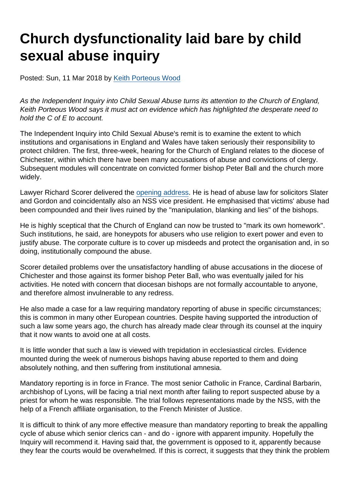# Church dysfunctionality laid bare by child sexual abuse inquiry

Posted: Sun, 11 Mar 2018 by [Keith Porteous Wood](https://www.secularism.org.uk/opinion/authors/852)

As the Independent Inquiry into Child Sexual Abuse turns its attention to the Church of England, Keith Porteous Wood says it must act on evidence which has highlighted the desperate need to hold the C of E to account.

The Independent Inquiry into Child Sexual Abuse's remit is to examine the extent to which institutions and organisations in England and Wales have taken seriously their responsibility to protect children. The first, three-week, hearing for the Church of England relates to the diocese of Chichester, within which there have been many accusations of abuse and convictions of clergy. Subsequent modules will concentrate on convicted former bishop Peter Ball and the church more widely.

Lawyer Richard Scorer delivered the [opening address](https://www.secularism.org.uk/opinion/2018/03/the-c-of-e-cannot-be-trusted-to-deal-with-safeguarding-complaints-in-house). He is head of abuse law for solicitors Slater and Gordon and coincidentally also an NSS vice president. He emphasised that victims' abuse had been compounded and their lives ruined by the "manipulation, blanking and lies" of the bishops.

He is highly sceptical that the Church of England can now be trusted to "mark its own homework". Such institutions, he said, are honeypots for abusers who use religion to exert power and even to justify abuse. The corporate culture is to cover up misdeeds and protect the organisation and, in so doing, institutionally compound the abuse.

Scorer detailed problems over the unsatisfactory handling of abuse accusations in the diocese of Chichester and those against its former bishop Peter Ball, who was eventually jailed for his activities. He noted with concern that diocesan bishops are not formally accountable to anyone, and therefore almost invulnerable to any redress.

He also made a case for a law requiring mandatory reporting of abuse in specific circumstances; this is common in many other European countries. Despite having supported the introduction of such a law some years ago, the church has already made clear through its counsel at the inquiry that it now wants to avoid one at all costs.

It is little wonder that such a law is viewed with trepidation in ecclesiastical circles. Evidence mounted during the week of numerous bishops having abuse reported to them and doing absolutely nothing, and then suffering from institutional amnesia.

Mandatory reporting is in force in France. The most senior Catholic in France, Cardinal Barbarin, archbishop of Lyons, will be facing a trial next month after failing to report suspected abuse by a priest for whom he was responsible. The trial follows representations made by the NSS, with the help of a French affiliate organisation, to the French Minister of Justice.

It is difficult to think of any more effective measure than mandatory reporting to break the appalling cycle of abuse which senior clerics can - and do - ignore with apparent impunity. Hopefully the Inquiry will recommend it. Having said that, the government is opposed to it, apparently because they fear the courts would be overwhelmed. If this is correct, it suggests that they think the problem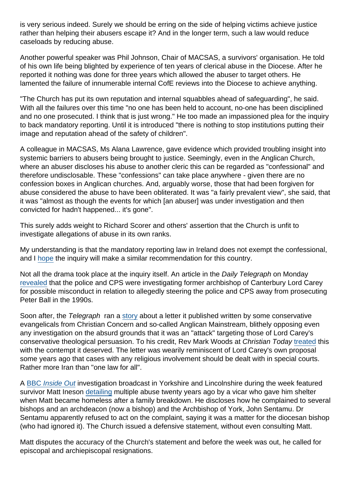is very serious indeed. Surely we should be erring on the side of helping victims achieve justice rather than helping their abusers escape it? And in the longer term, such a law would reduce caseloads by reducing abuse.

Another powerful speaker was Phil Johnson, Chair of MACSAS, a survivors' organisation. He told of his own life being blighted by experience of ten years of clerical abuse in the Diocese. After he reported it nothing was done for three years which allowed the abuser to target others. He lamented the failure of innumerable internal CofE reviews into the Diocese to achieve anything.

"The Church has put its own reputation and internal squabbles ahead of safeguarding", he said. With all the failures over this time "no one has been held to account, no-one has been disciplined and no one prosecuted. I think that is just wrong." He too made an impassioned plea for the inquiry to back mandatory reporting. Until it is introduced "there is nothing to stop institutions putting their image and reputation ahead of the safety of children".

A colleague in MACSAS, Ms Alana Lawrence, gave evidence which provided troubling insight into systemic barriers to abusers being brought to justice. Seemingly, even in the Anglican Church, where an abuser discloses his abuse to another cleric this can be regarded as "confessional" and therefore undisclosable. These "confessions" can take place anywhere - given there are no confession boxes in Anglican churches. And, arguably worse, those that had been forgiven for abuse considered the abuse to have been obliterated. It was "a fairly prevalent view", she said, that it was "almost as though the events for which [an abuser] was under investigation and then convicted for hadn't happened... it's gone".

This surely adds weight to Richard Scorer and others' assertion that the Church is unfit to investigate allegations of abuse in its own ranks.

My understanding is that the mandatory reporting law in Ireland does not exempt the confessional, and I [hope](https://www.secularism.org.uk/opinion/2017/08/the-confessional-shouldnt-shield-for-child-abuse-from-reporting) the inquiry will make a similar recommendation for this country.

Not all the drama took place at the inquiry itself. An article in the Daily Telegraph on Monday [revealed](https://www.telegraph.co.uk/news/2018/03/04/lord-carey-police-prosecutors-consider-criminal-investigation/) that the police and CPS were investigating former archbishop of Canterbury Lord Carey for possible misconduct in relation to allegedly steering the police and CPS away from prosecuting Peter Ball in the 1990s.

Soon after, the Telegraph ran a [story](https://www.telegraph.co.uk/news/2018/03/06/attack-lord-carey-attack-u s-say-church-england-figures/) about a letter it published written by some conservative evangelicals from Christian Concern and so-called Anglican Mainstream, blithely opposing even any investigation on the absurd grounds that it was an "attack" targeting those of Lord Carey's conservative theological persuasion. To his credit, Rev Mark Woods at Christian Today [treated](https://www.christiantoday.com/uk/why-conservative-christians-should-stop-defending-george-carey/127008.htm) this with the contempt it deserved. The letter was wearily reminiscent of Lord Carey's own proposal some years ago that cases with any religious involvement should be dealt with in special courts. Rather more Iran than "one law for all".

A [BBC Inside Out](https://www.bbc.co.uk/iplayer/episode/b09v9kgg/inside-out-yorkshire-and-lincolnshire-05032018) investigation broadcast in Yorkshire and Lincolnshire during the week featured survivor Matt Ineson [detailing](http://www.bbc.co.uk/news/uk-england-43228491) multiple abuse twenty years ago by a vicar who gave him shelter when Matt became homeless after a family breakdown. He discloses how he complained to several bishops and an archdeacon (now a bishop) and the Archbishop of York, John Sentamu. Dr Sentamu apparently refused to act on the complaint, saying it was a matter for the diocesan bishop (who had ignored it). The Church issued a defensive statement, without even consulting Matt.

Matt disputes the accuracy of the Church's statement and before the week was out, he called for episcopal and archiepiscopal resignations.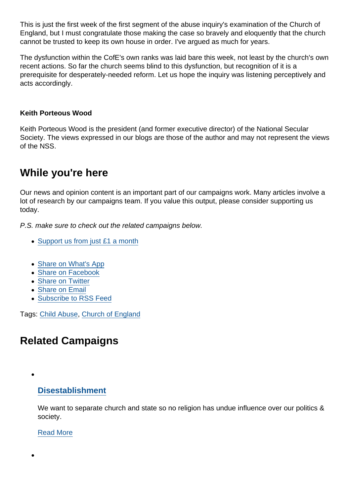This is just the first week of the first segment of the abuse inquiry's examination of the Church of England, but I must congratulate those making the case so bravely and eloquently that the church cannot be trusted to keep its own house in order. I've argued as much for years.

The dysfunction within the CofE's own ranks was laid bare this week, not least by the church's own recent actions. So far the church seems blind to this dysfunction, but recognition of it is a prerequisite for desperately-needed reform. Let us hope the inquiry was listening perceptively and acts accordingly.

Keith Porteous Wood

Keith Porteous Wood is the president (and former executive director) of the National Secular Society. The views expressed in our blogs are those of the author and may not represent the views of the NSS.

# While you're here

Our news and opinion content is an important part of our campaigns work. Many articles involve a lot of research by our campaigns team. If you value this output, please consider supporting us today.

P.S. make sure to check out the related campaigns below.

- [Support us from just £1 a month](https://www.secularism.org.uk/donate.html)
- [Share on What's App](whatsapp://send?text=http://www.secularism.org.uk/opinion/2018/03/church-dysfunctionality-laid-bare-by-child-sex-abuse-inquiry?format=pdf)
- [Share on Facebook](https://www.facebook.com/sharer/sharer.php?u=http://www.secularism.org.uk/opinion/2018/03/church-dysfunctionality-laid-bare-by-child-sex-abuse-inquiry?format=pdf&t=Church+dysfunctionality+laid+bare+by+child+sexual+abuse+inquiry)
- [Share on Twitter](https://twitter.com/intent/tweet?url=http://www.secularism.org.uk/opinion/2018/03/church-dysfunctionality-laid-bare-by-child-sex-abuse-inquiry?format=pdf&text=Church+dysfunctionality+laid+bare+by+child+sexual+abuse+inquiry&via=NatSecSoc)
- [Share on Email](https://www.secularism.org.uk/share.html?url=http://www.secularism.org.uk/opinion/2018/03/church-dysfunctionality-laid-bare-by-child-sex-abuse-inquiry?format=pdf&title=Church+dysfunctionality+laid+bare+by+child+sexual+abuse+inquiry)
- [Subscribe to RSS Feed](/mnt/web-data/www/cp-nss/feeds/rss/news)

Tags: [Child Abuse](https://www.secularism.org.uk/opinion/tags/Child+Abuse), [Church of England](https://www.secularism.org.uk/opinion/tags/Church+of+England)

# Related Campaigns

#### [Disestablishment](https://www.secularism.org.uk/disestablishment/)

We want to separate church and state so no religion has undue influence over our politics & society.

#### [Read More](https://www.secularism.org.uk/disestablishment/)